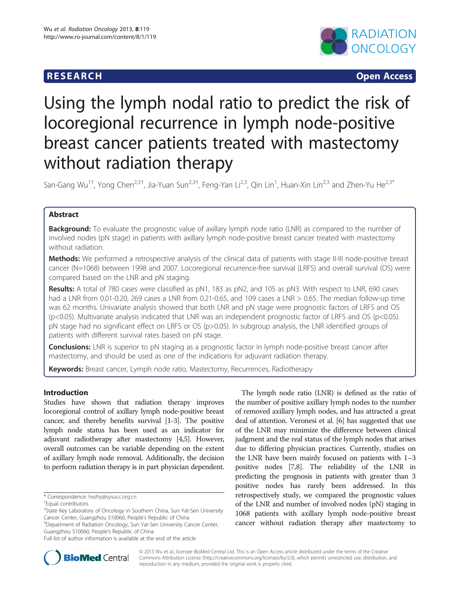## **RESEARCH RESEARCH** *CHECK <b>CHECK*



# Using the lymph nodal ratio to predict the risk of locoregional recurrence in lymph node-positive breast cancer patients treated with mastectomy without radiation therapy

San-Gang Wu<sup>1†</sup>, Yong Chen<sup>2,3†</sup>, Jia-Yuan Sun<sup>2,3†</sup>, Feng-Yan Li<sup>2,3</sup>, Qin Lin<sup>1</sup>, Huan-Xin Lin<sup>2,3</sup> and Zhen-Yu He<sup>2,3\*</sup>

## Abstract

**Background:** To evaluate the prognostic value of axillary lymph node ratio (LNR) as compared to the number of involved nodes (pN stage) in patients with axillary lymph node-positive breast cancer treated with mastectomy without radiation.

Methods: We performed a retrospective analysis of the clinical data of patients with stage II-III node-positive breast cancer (N=1068) between 1998 and 2007. Locoregional recurrence-free survival (LRFS) and overall survival (OS) were compared based on the LNR and pN staging.

Results: A total of 780 cases were classified as pN1, 183 as pN2, and 105 as pN3. With respect to LNR, 690 cases had a LNR from 0.01-0.20, 269 cases a LNR from 0.21-0.65, and 109 cases a LNR > 0.65. The median follow-up time was 62 months. Univariate analysis showed that both LNR and pN stage were prognostic factors of LRFS and OS (p<0.05). Multivariate analysis indicated that LNR was an independent prognostic factor of LRFS and OS (p<0.05). pN stage had no significant effect on LRFS or OS (p>0.05). In subgroup analysis, the LNR identified groups of patients with different survival rates based on pN stage.

**Conclusions:** LNR is superior to pN staging as a prognostic factor in lymph node-positive breast cancer after mastectomy, and should be used as one of the indications for adjuvant radiation therapy.

Keywords: Breast cancer, Lymph node ratio, Mastectomy, Recurrences, Radiotherapy

## Introduction

Studies have shown that radiation therapy improves locoregional control of axillary lymph node-positive breast cancer, and thereby benefits survival [[1](#page-6-0)-[3\]](#page-6-0). The positive lymph node status has been used as an indicator for adjuvant radiotherapy after mastectomy [\[4,5\]](#page-6-0). However, overall outcomes can be variable depending on the extent of axillary lymph node removal. Additionally, the decision to perform radiation therapy is in part physician dependent.

<sup>3</sup>Department of Radiation Oncology, Sun Yat-Sen University Cancer Center, Guangzhou 510060, People's Republic of China

The lymph node ratio (LNR) is defined as the ratio of the number of positive axillary lymph nodes to the number of removed axillary lymph nodes, and has attracted a great deal of attention. Veronesi et al. [\[6](#page-7-0)] has suggested that use of the LNR may minimize the difference between clinical judgment and the real status of the lymph nodes that arises due to differing physician practices. Currently, studies on the LNR have been mainly focused on patients with 1–3 positive nodes [[7,8](#page-7-0)]. The reliability of the LNR in predicting the prognosis in patients with greater than 3 positive nodes has rarely been addressed. In this retrospectively study, we compared the prognostic values of the LNR and number of involved nodes (pN) staging in 1068 patients with axillary lymph node-positive breast cancer without radiation therapy after mastectomy to



© 2013 Wu et al.; licensee BioMed Central Ltd. This is an Open Access article distributed under the terms of the Creative Commons Attribution License [\(http://creativecommons.org/licenses/by/2.0\)](http://creativecommons.org/licenses/by/2.0), which permits unrestricted use, distribution, and reproduction in any medium, provided the original work is properly cited.

<sup>\*</sup> Correspondence: [hezhy@sysucc.org.cn](mailto:hezhy@sysucc.org.cn) †

Equal contributors

<sup>&</sup>lt;sup>2</sup>State Key Laboratory of Oncology in Southern China, Sun Yat-Sen University Cancer Center, Guangzhou 510060, People's Republic of China <sup>3</sup>

Full list of author information is available at the end of the article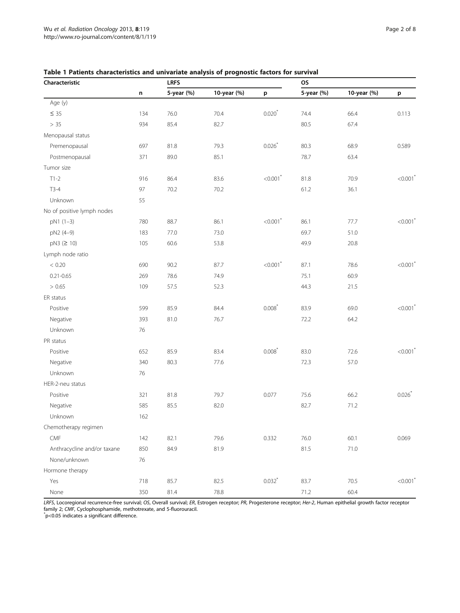| Characteristic              |     | <b>LRFS</b> |             | <b>OS</b>              |            |             |                        |
|-----------------------------|-----|-------------|-------------|------------------------|------------|-------------|------------------------|
|                             | n   | 5-year (%)  | 10-year (%) | p                      | 5-year (%) | 10-year (%) | p                      |
| Age (y)                     |     |             |             |                        |            |             |                        |
| $\leq 35$                   | 134 | 76.0        | 70.4        | $0.020^{*}$            | 74.4       | 66.4        | 0.113                  |
| > 35                        | 934 | 85.4        | 82.7        |                        | 80.5       | 67.4        |                        |
| Menopausal status           |     |             |             |                        |            |             |                        |
| Premenopausal               | 697 | 81.8        | 79.3        | 0.026                  | 80.3       | 68.9        | 0.589                  |
| Postmenopausal              | 371 | 89.0        | 85.1        |                        | 78.7       | 63.4        |                        |
| Tumor size                  |     |             |             |                        |            |             |                        |
| $T1-2$                      | 916 | 86.4        | 83.6        | $< 0.001$ <sup>*</sup> | 81.8       | 70.9        | < 0.001                |
| $T3-4$                      | 97  | 70.2        | 70.2        |                        | 61.2       | 36.1        |                        |
| Unknown                     | 55  |             |             |                        |            |             |                        |
| No of positive lymph nodes  |     |             |             |                        |            |             |                        |
| pN1 (1-3)                   | 780 | 88.7        | 86.1        | $< 0.001$ <sup>*</sup> | 86.1       | 77.7        | $< 0.001$ <sup>*</sup> |
| pN2 (4-9)                   | 183 | 77.0        | 73.0        |                        | 69.7       | 51.0        |                        |
| pN3 (≥ 10)                  | 105 | 60.6        | 53.8        |                        | 49.9       | 20.8        |                        |
| Lymph node ratio            |     |             |             |                        |            |             |                        |
| < 0.20                      | 690 | 90.2        | 87.7        | $< 0.001$ <sup>*</sup> | 87.1       | 78.6        | $< 0.001$ <sup>*</sup> |
| $0.21 - 0.65$               | 269 | 78.6        | 74.9        |                        | 75.1       | 60.9        |                        |
| > 0.65                      | 109 | 57.5        | 52.3        |                        | 44.3       | 21.5        |                        |
| ER status                   |     |             |             |                        |            |             |                        |
| Positive                    | 599 | 85.9        | 84.4        | $0.008*$               | 83.9       | 69.0        | $< 0.001$ <sup>*</sup> |
| Negative                    | 393 | 81.0        | 76.7        |                        | 72.2       | 64.2        |                        |
| Unknown                     | 76  |             |             |                        |            |             |                        |
| PR status                   |     |             |             |                        |            |             |                        |
| Positive                    | 652 | 85.9        | 83.4        | 0.008                  | 83.0       | 72.6        | $< 0.001$ <sup>*</sup> |
| Negative                    | 340 | 80.3        | 77.6        |                        | 72.3       | 57.0        |                        |
| Unknown                     | 76  |             |             |                        |            |             |                        |
| HER-2-neu status            |     |             |             |                        |            |             |                        |
| Positive                    | 321 | 81.8        | 79.7        | 0.077                  | 75.6       | 66.2        | 0.026                  |
| Negative                    | 585 | 85.5        | 82.0        |                        | 82.7       | 71.2        |                        |
| Unknown                     | 162 |             |             |                        |            |             |                        |
| Chemotherapy regimen        |     |             |             |                        |            |             |                        |
| CMF                         | 142 | 82.1        | 79.6        | 0.332                  | 76.0       | 60.1        | 0.069                  |
| Anthracycline and/or taxane | 850 | 84.9        | 81.9        |                        | 81.5       | 71.0        |                        |
| None/unknown                | 76  |             |             |                        |            |             |                        |
| Hormone therapy             |     |             |             |                        |            |             |                        |
| Yes                         | 718 | 85.7        | 82.5        | $0.032$ <sup>*</sup>   | 83.7       | 70.5        | < 0.001                |
| None                        | 350 | 81.4        | 78.8        |                        | 71.2       | 60.4        |                        |

<span id="page-1-0"></span>Table 1 Patients characteristics and univariate analysis of prognostic factors for survival

LRFS, Locoregional recurrence-free survival; OS, Overall survival; ER, Estrogen receptor; PR, Progesterone receptor; Her-2, Human epithelial growth factor receptor family 2; CMF, Cyclophosphamide, methotrexate, and 5-fluorouracil.<br>ឺp<0.05 indicates a significant difference.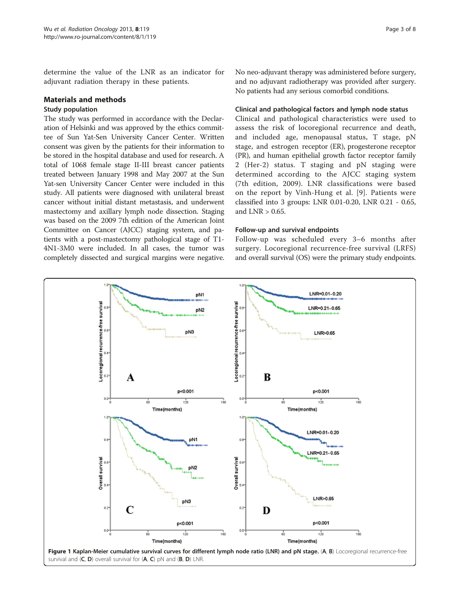<span id="page-2-0"></span>determine the value of the LNR as an indicator for adjuvant radiation therapy in these patients.

## Materials and methods

## Study population

The study was performed in accordance with the Declaration of Helsinki and was approved by the ethics committee of Sun Yat-Sen University Cancer Center. Written consent was given by the patients for their information to be stored in the hospital database and used for research. A total of 1068 female stage II-III breast cancer patients treated between January 1998 and May 2007 at the Sun Yat-sen University Cancer Center were included in this study. All patients were diagnosed with unilateral breast cancer without initial distant metastasis, and underwent mastectomy and axillary lymph node dissection. Staging was based on the 2009 7th edition of the American Joint Committee on Cancer (AJCC) staging system, and patients with a post-mastectomy pathological stage of T1- 4N1-3M0 were included. In all cases, the tumor was completely dissected and surgical margins were negative. No neo-adjuvant therapy was administered before surgery, and no adjuvant radiotherapy was provided after surgery. No patients had any serious comorbid conditions.

## Clinical and pathological factors and lymph node status

Clinical and pathological characteristics were used to assess the risk of locoregional recurrence and death, and included age, menopausal status, T stage, pN stage, and estrogen receptor (ER), progesterone receptor (PR), and human epithelial growth factor receptor family 2 (Her-2) status. T staging and pN staging were determined according to the AJCC staging system (7th edition, 2009). LNR classifications were based on the report by Vinh-Hung et al. [[9](#page-7-0)]. Patients were classified into 3 groups: LNR 0.01-0.20, LNR 0.21 - 0.65, and  $LNR > 0.65$ .

## Follow-up and survival endpoints

Follow-up was scheduled every 3–6 months after surgery. Locoregional recurrence-free survival (LRFS) and overall survival (OS) were the primary study endpoints.

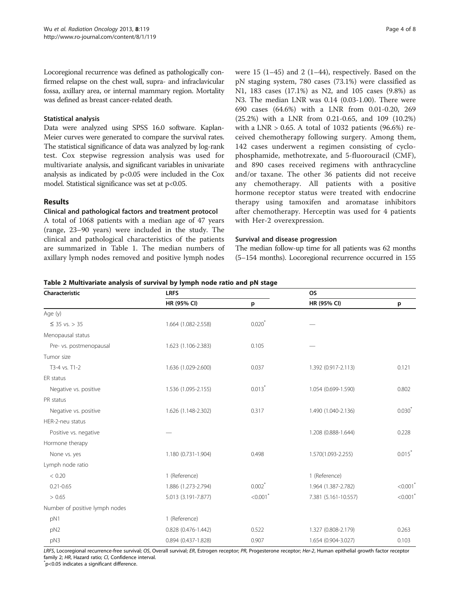<span id="page-3-0"></span>Locoregional recurrence was defined as pathologically confirmed relapse on the chest wall, supra- and infraclavicular fossa, axillary area, or internal mammary region. Mortality was defined as breast cancer-related death.

## Statistical analysis

Data were analyzed using SPSS 16.0 software. Kaplan-Meier curves were generated to compare the survival rates. The statistical significance of data was analyzed by log-rank test. Cox stepwise regression analysis was used for multivariate analysis, and significant variables in univariate analysis as indicated by p<0.05 were included in the Cox model. Statistical significance was set at p<0.05.

## Results

### Clinical and pathological factors and treatment protocol

A total of 1068 patients with a median age of 47 years (range, 23–90 years) were included in the study. The clinical and pathological characteristics of the patients are summarized in Table [1](#page-1-0). The median numbers of axillary lymph nodes removed and positive lymph nodes

were 15 (1–45) and 2 (1–44), respectively. Based on the pN staging system, 780 cases (73.1%) were classified as N1, 183 cases (17.1%) as N2, and 105 cases (9.8%) as N3. The median LNR was 0.14 (0.03-1.00). There were 690 cases (64.6%) with a LNR from 0.01-0.20, 269 (25.2%) with a LNR from 0.21-0.65, and 109 (10.2%) with a LNR  $> 0.65$ . A total of 1032 patients (96.6%) received chemotherapy following surgery. Among them, 142 cases underwent a regimen consisting of cyclophosphamide, methotrexate, and 5-fluorouracil (CMF), and 890 cases received regimens with anthracycline and/or taxane. The other 36 patients did not receive any chemotherapy. All patients with a positive hormone receptor status were treated with endocrine therapy using tamoxifen and aromatase inhibitors after chemotherapy. Herceptin was used for 4 patients with Her-2 overexpression.

## Survival and disease progression

The median follow-up time for all patients was 62 months (5–154 months). Locoregional recurrence occurred in 155

| Table 2 Multivariate analysis of survival by lymph node ratio and pN stage |  |  |  |
|----------------------------------------------------------------------------|--|--|--|
|----------------------------------------------------------------------------|--|--|--|

| Characteristic                 | <b>LRFS</b>         |                        | <b>OS</b>            |                        |  |
|--------------------------------|---------------------|------------------------|----------------------|------------------------|--|
|                                | HR (95% CI)         | p                      | HR (95% CI)          | p                      |  |
| Age (y)                        |                     |                        |                      |                        |  |
| $\leq$ 35 vs. > 35             | 1.664 (1.082-2.558) | $0.020*$               |                      |                        |  |
| Menopausal status              |                     |                        |                      |                        |  |
| Pre- vs. postmenopausal        | 1.623 (1.106-2.383) | 0.105                  |                      |                        |  |
| Tumor size                     |                     |                        |                      |                        |  |
| T3-4 vs. T1-2                  | 1.636 (1.029-2.600) | 0.037                  | 1.392 (0.917-2.113)  | 0.121                  |  |
| ER status                      |                     |                        |                      |                        |  |
| Negative vs. positive          | 1.536 (1.095-2.155) | $0.013*$               | 1.054 (0.699-1.590)  | 0.802                  |  |
| PR status                      |                     |                        |                      |                        |  |
| Negative vs. positive          | 1.626 (1.148-2.302) | 0.317                  | 1.490 (1.040-2.136)  | $0.030^{*}$            |  |
| HFR-2-neu status               |                     |                        |                      |                        |  |
| Positive vs. negative          |                     |                        | 1.208 (0.888-1.644)  | 0.228                  |  |
| Hormone therapy                |                     |                        |                      |                        |  |
| None vs. yes                   | 1.180 (0.731-1.904) | 0.498                  | 1.570(1.093-2.255)   | $0.015$ <sup>*</sup>   |  |
| Lymph node ratio               |                     |                        |                      |                        |  |
| < 0.20                         | 1 (Reference)       |                        | 1 (Reference)        |                        |  |
| $0.21 - 0.65$                  | 1.886 (1.273-2.794) | $0.002$ <sup>*</sup>   | 1.964 (1.387-2.782)  | $<0.001$ <sup>*</sup>  |  |
| > 0.65                         | 5.013 (3.191-7.877) | $< 0.001$ <sup>*</sup> | 7.381 (5.161-10.557) | $< 0.001$ <sup>*</sup> |  |
| Number of positive lymph nodes |                     |                        |                      |                        |  |
| pN1                            | 1 (Reference)       |                        |                      |                        |  |
| pN <sub>2</sub>                | 0.828 (0.476-1.442) | 0.522                  | 1.327 (0.808-2.179)  | 0.263                  |  |
| pN3                            | 0.894 (0.437-1.828) | 0.907                  | 1.654 (0.904-3.027)  | 0.103                  |  |

LRFS, Locoregional recurrence-free survival; OS, Overall survival; ER, Estrogen receptor; PR, Progesterone receptor; Her-2, Human epithelial growth factor receptor family 2; HR, Hazard ratio; CI, Confidence interval.

p<0.05 indicates a significant difference.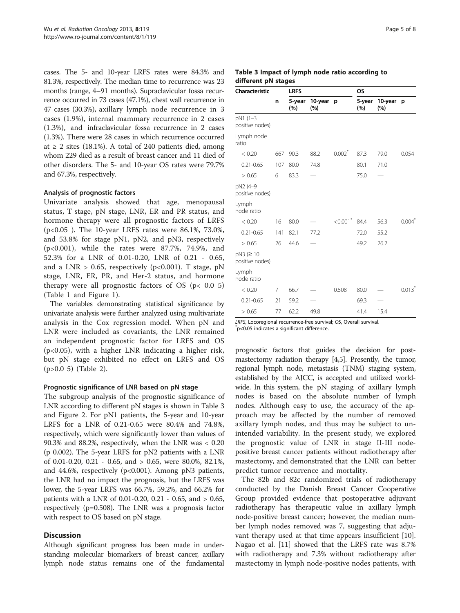cases. The 5- and 10-year LRFS rates were 84.3% and 81.3%, respectively. The median time to recurrence was 23 months (range, 4–91 months). Supraclavicular fossa recurrence occurred in 73 cases (47.1%), chest wall recurrence in 47 cases (30.3%), axillary lymph node recurrence in 3 cases (1.9%), internal mammary recurrence in 2 cases (1.3%), and infraclavicular fossa recurrence in 2 cases (1.3%). There were 28 cases in which recurrence occurred at  $\geq$  2 sites (18.1%). A total of 240 patients died, among whom 229 died as a result of breast cancer and 11 died of other disorders. The 5- and 10-year OS rates were 79.7% and 67.3%, respectively.

## Analysis of prognostic factors

Univariate analysis showed that age, menopausal status, T stage, pN stage, LNR, ER and PR status, and hormone therapy were all prognostic factors of LRFS (p<0.05 ). The 10-year LRFS rates were 86.1%, 73.0%, and 53.8% for stage pN1, pN2, and pN3, respectively (p<0.001), while the rates were 87.7%, 74.9%, and 52.3% for a LNR of 0.01-0.20, LNR of 0.21 - 0.65, and a LNR  $> 0.65$ , respectively (p<0.001). T stage, pN stage, LNR, ER, PR, and Her-2 status, and hormone therapy were all prognostic factors of OS ( $p < 0.0$  5) (Table [1](#page-1-0) and Figure [1\)](#page-2-0).

The variables demonstrating statistical significance by univariate analysis were further analyzed using multivariate analysis in the Cox regression model. When pN and LNR were included as covariants, the LNR remained an independent prognostic factor for LRFS and OS (p<0.05), with a higher LNR indicating a higher risk, but pN stage exhibited no effect on LRFS and OS (p>0.0 5) (Table [2\)](#page-3-0).

## Prognostic significance of LNR based on pN stage

The subgroup analysis of the prognostic significance of LNR according to different pN stages is shown in Table 3 and Figure [2](#page-5-0). For pN1 patients, the 5-year and 10-year LRFS for a LNR of 0.21-0.65 were 80.4% and 74.8%, respectively, which were significantly lower than values of 90.3% and 88.2%, respectively, when the LNR was < 0.20 (p 0.002). The 5-year LRFS for pN2 patients with a LNR of 0.01-0.20, 0.21 - 0.65, and > 0.65, were 80.0%, 82.1%, and 44.6%, respectively ( $p<0.001$ ). Among  $pN3$  patients, the LNR had no impact the prognosis, but the LRFS was lower, the 5-year LRFS was 66.7%, 59.2%, and 66.2% for patients with a LNR of 0.01-0.20, 0.21 - 0.65, and > 0.65, respectively (p=0.508). The LNR was a prognosis factor with respect to OS based on pN stage.

## **Discussion**

Although significant progress has been made in understanding molecular biomarkers of breast cancer, axillary lymph node status remains one of the fundamental

| Page 5 of 8 |  |  |  |
|-------------|--|--|--|
|-------------|--|--|--|

## Table 3 Impact of lymph node ratio according to different pN stages

| Characteristic                       |     | <b>LRFS</b>   |                |                        | <b>OS</b>     |                |                      |
|--------------------------------------|-----|---------------|----------------|------------------------|---------------|----------------|----------------------|
|                                      | n   | 5-year<br>(%) | 10-year<br>(%) | p                      | 5-year<br>(%) | 10-year<br>(%) | $\mathbf{p}$         |
| pN1 (1-3<br>positive nodes)          |     |               |                |                        |               |                |                      |
| Lymph node<br>ratio                  |     |               |                |                        |               |                |                      |
| < 0.20                               | 667 | 90.3          | 88.2           | $0.002$ <sup>*</sup>   | 87.3          | 79.0           | 0.054                |
| $0.21 - 0.65$                        | 107 | 80.0          | 74.8           |                        | 80.1          | 71.0           |                      |
| > 0.65                               | 6   | 83.3          |                |                        | 75.0          |                |                      |
| pN2 (4-9<br>positive nodes)          |     |               |                |                        |               |                |                      |
| Lymph<br>node ratio                  |     |               |                |                        |               |                |                      |
| < 0.20                               | 16  | 80.0          |                | $< 0.001$ <sup>*</sup> | 84.4          | 56.3           | $0.004^{7}$          |
| $0.21 - 0.65$                        | 141 | 82.1          | 77.2           |                        | 72.0          | 55.2           |                      |
| > 0.65                               | 26  | 44.6          |                |                        | 49.2          | 26.2           |                      |
| $pN3$ ( $\geq 10$<br>positive nodes) |     |               |                |                        |               |                |                      |
| Lymph<br>node ratio                  |     |               |                |                        |               |                |                      |
| < 0.20                               | 7   | 66.7          |                | 0.508                  | 80.0          |                | $0.013$ <sup>*</sup> |
| $0.21 - 0.65$                        | 21  | 59.2          |                |                        | 69.3          |                |                      |
| > 0.65                               | 77  | 62.2          | 49.8           |                        | 41.4          | 15.4           |                      |

LRFS, Locoregional recurrence-free survival; OS, Overall survival. p<0.05 indicates a significant difference.

prognostic factors that guides the decision for postmastectomy radiation therapy [\[4,5](#page-6-0)]. Presently, the tumor, regional lymph node, metastasis (TNM) staging system, established by the AJCC, is accepted and utilized worldwide. In this system, the pN staging of axillary lymph nodes is based on the absolute number of lymph nodes. Although easy to use, the accuracy of the approach may be affected by the number of removed axillary lymph nodes, and thus may be subject to unintended variability. In the present study, we explored the prognostic value of LNR in stage II-III nodepositive breast cancer patients without radiotherapy after mastectomy, and demonstrated that the LNR can better predict tumor recurrence and mortality.

The 82b and 82c randomized trials of radiotherapy conducted by the Danish Breast Cancer Cooperative Group provided evidence that postoperative adjuvant radiotherapy has therapeutic value in axillary lymph node-positive breast cancer; however, the median number lymph nodes removed was 7, suggesting that adjuvant therapy used at that time appears insufficient [\[10](#page-7-0)]. Nagao et al. [[11\]](#page-7-0) showed that the LRFS rate was 8.7% with radiotherapy and 7.3% without radiotherapy after mastectomy in lymph node-positive nodes patients, with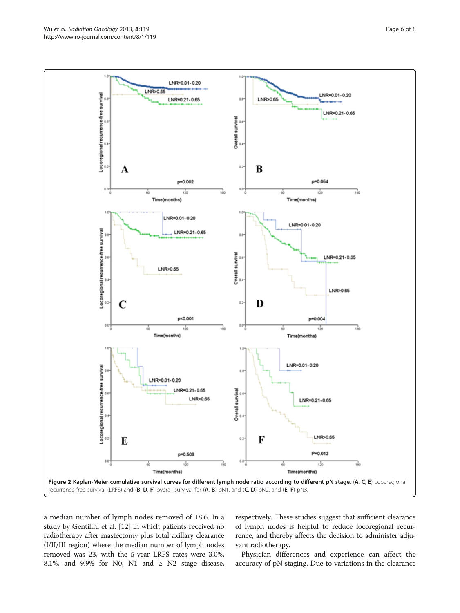<span id="page-5-0"></span>

a median number of lymph nodes removed of 18.6. In a study by Gentilini et al. [[12](#page-7-0)] in which patients received no radiotherapy after mastectomy plus total axillary clearance (I/II/III region) where the median number of lymph nodes removed was 23, with the 5-year LRFS rates were 3.0%, 8.1%, and 9.9% for N0, N1 and  $\geq$  N2 stage disease,

respectively. These studies suggest that sufficient clearance of lymph nodes is helpful to reduce locoregional recurrence, and thereby affects the decision to administer adjuvant radiotherapy.

Physician differences and experience can affect the accuracy of pN staging. Due to variations in the clearance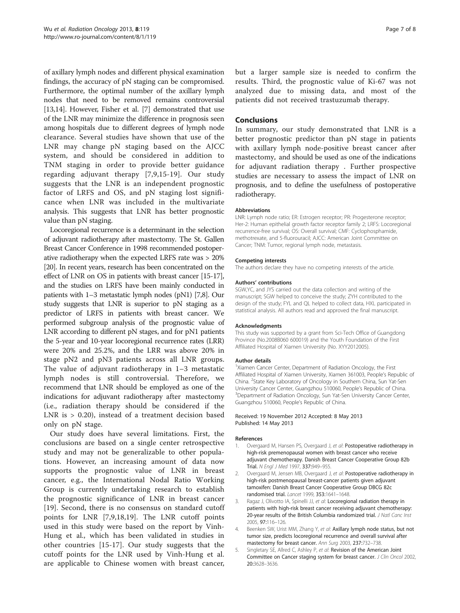<span id="page-6-0"></span>of axillary lymph nodes and different physical examination findings, the accuracy of pN staging can be compromised. Furthermore, the optimal number of the axillary lymph nodes that need to be removed remains controversial [[13,14](#page-7-0)]. However, Fisher et al. [[7\]](#page-7-0) demonstrated that use of the LNR may minimize the difference in prognosis seen among hospitals due to different degrees of lymph node clearance. Several studies have shown that use of the LNR may change pN staging based on the AJCC system, and should be considered in addition to TNM staging in order to provide better guidance regarding adjuvant therapy [[7](#page-7-0),[9,15](#page-7-0)-[19](#page-7-0)]. Our study suggests that the LNR is an independent prognostic factor of LRFS and OS, and pN staging lost significance when LNR was included in the multivariate analysis. This suggests that LNR has better prognostic value than pN staging.

Locoregional recurrence is a determinant in the selection of adjuvant radiotherapy after mastectomy. The St. Gallen Breast Cancer Conference in 1998 recommended postoperative radiotherapy when the expected LRFS rate was > 20% [[20](#page-7-0)]. In recent years, research has been concentrated on the effect of LNR on OS in patients with breast cancer [\[15-17](#page-7-0)], and the studies on LRFS have been mainly conducted in patients with 1–3 metastatic lymph nodes (pN1) [[7,8](#page-7-0)]. Our study suggests that LNR is superior to pN staging as a predictor of LRFS in patients with breast cancer. We performed subgroup analysis of the prognostic value of LNR according to different pN stages, and for pN1 patients the 5-year and 10-year locoregional recurrence rates (LRR) were 20% and 25.2%, and the LRR was above 20% in stage pN2 and pN3 patients across all LNR groups. The value of adjuvant radiotherapy in 1–3 metastatic lymph nodes is still controversial. Therefore, we recommend that LNR should be employed as one of the indications for adjuvant radiotherapy after mastectomy (i.e., radiation therapy should be considered if the LNR is > 0.20), instead of a treatment decision based only on pN stage.

Our study does have several limitations. First, the conclusions are based on a single center retrospective study and may not be generalizable to other populations. However, an increasing amount of data now supports the prognostic value of LNR in breast cancer, e.g., the International Nodal Ratio Working Group is currently undertaking research to establish the prognostic significance of LNR in breast cancer [[19\]](#page-7-0). Second, there is no consensus on standard cutoff points for LNR [[7,9,18,19](#page-7-0)]. The LNR cutoff points used in this study were based on the report by Vinh-Hung et al., which has been validated in studies in other countries [\[15-17](#page-7-0)]. Our study suggests that the cutoff points for the LNR used by Vinh-Hung et al. are applicable to Chinese women with breast cancer,

but a larger sample size is needed to confirm the results. Third, the prognostic value of Ki-67 was not analyzed due to missing data, and most of the patients did not received trastuzumab therapy.

## **Conclusions**

In summary, our study demonstrated that LNR is a better prognostic predictor than pN stage in patients with axillary lymph node-positive breast cancer after mastectomy, and should be used as one of the indications for adjuvant radiation therapy . Further prospective studies are necessary to assess the impact of LNR on prognosis, and to define the usefulness of postoperative radiotherapy.

#### Abbreviations

LNR: Lymph node ratio; ER: Estrogen receptor; PR: Progesterone receptor; Her-2: Human epithelial growth factor receptor family 2; LRFS: Locoregional recurrence-free survival; OS: Overall survival; CMF: Cyclophosphamide, methotrexate, and 5-fluorouracil; AJCC: American Joint Committee on Cancer; TNM: Tumor, regional lymph node, metastasis.

#### Competing interests

The authors declare they have no competing interests of the article.

#### Authors' contributions

SGW,YC, and JYS carried out the data collection and writing of the manuscript; SGW helped to conceive the study; ZYH contributed to the design of the study; FYL and QL helped to collect data, HXL participated in statistical analysis. All authors read and approved the final manuscript.

#### Acknowledgments

This study was supported by a grant from Sci-Tech Office of Guangdong Province (No.2008B060 600019) and the Youth Foundation of the First Affiliated Hospital of Xiamen University (No. XYY2012005).

#### Author details

<sup>1</sup>Xiamen Cancer Center, Department of Radiation Oncology, the First Affiliated Hospital of Xiamen University, Xiamen 361003, People's Republic of China. <sup>2</sup> State Key Laboratory of Oncology in Southern China, Sun Yat-Sen University Cancer Center, Guangzhou 510060, People's Republic of China. <sup>3</sup> <sup>3</sup>Department of Radiation Oncology, Sun Yat-Sen University Cancer Center, Guangzhou 510060, People's Republic of China.

#### Received: 19 November 2012 Accepted: 8 May 2013 Published: 14 May 2013

#### References

- 1. Overgaard M, Hansen PS, Overgaard J, et al: Postoperative radiotherapy in high-risk premenopausal women with breast cancer who receive adjuvant chemotherapy. Danish Breast Cancer Cooperative Group 82b Trial. N Engl J Med 1997, 337:949–955.
- 2. Overgaard M, Jensen MB, Overgaard J, et al: Postoperative radiotherapy in high-risk postmenopausal breast-cancer patients given adjuvant tamoxifen: Danish Breast Cancer Cooperative Group DBCG 82c randomised trial. Lancet 1999, 353:1641–1648.
- 3. Ragaz J, Olivotto IA, Spinelli JJ, et al: Locoregional radiation therapy in patients with high-risk breast cancer receiving adjuvant chemotherapy: 20-year results of the British Columbia randomized trial. J Natl Canc Inst 2005, 97:116–126.
- 4. Beenken SW, Urist MM, Zhang Y, et al: Axillary lymph node status, but not tumor size, predicts locoregional recurrence and overall survival after mastectomy for breast cancer. Ann Surg 2003, 237:732–738.
- 5. Singletary SE, Allred C, Ashley P, et al: Revision of the American Joint Committee on Cancer staging system for breast cancer. J Clin Oncol 2002, 20:3628–3636.